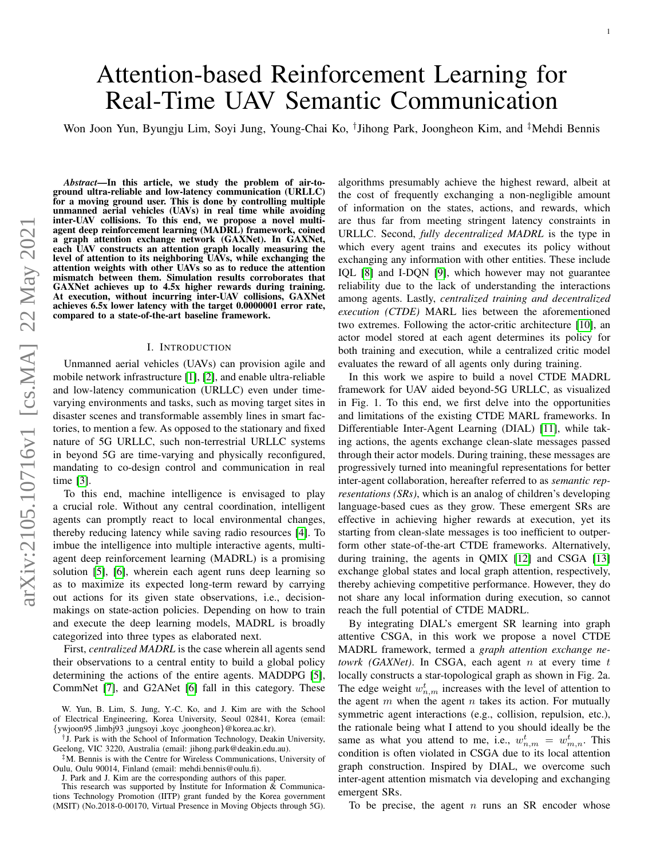# Attention-based Reinforcement Learning for Real-Time UAV Semantic Communication

Won Joon Yun, Byungju Lim, Soyi Jung, Young-Chai Ko, † Jihong Park, Joongheon Kim, and ‡Mehdi Bennis

*Abstract*—In this article, we study the problem of air-toground ultra-reliable and low-latency communication (URLLC) for a moving ground user. This is done by controlling multiple unmanned aerial vehicles (UAVs) in real time while avoiding inter-UAV collisions. To this end, we propose a novel multiagent deep reinforcement learning (MADRL) framework, coined a graph attention exchange network (GAXNet). In GAXNet, each UAV constructs an attention graph locally measuring the level of attention to its neighboring UAVs, while exchanging the attention weights with other UAVs so as to reduce the attention mismatch between them. Simulation results corroborates that GAXNet achieves up to 4.5x higher rewards during training. At execution, without incurring inter-UAV collisions, GAXNet achieves 6.5x lower latency with the target 0.0000001 error rate, compared to a state-of-the-art baseline framework.

## I. INTRODUCTION

Unmanned aerial vehicles (UAVs) can provision agile and mobile network infrastructure [\[1\]](#page-5-0), [\[2\]](#page-5-1), and enable ultra-reliable and low-latency communication (URLLC) even under timevarying environments and tasks, such as moving target sites in disaster scenes and transformable assembly lines in smart factories, to mention a few. As opposed to the stationary and fixed nature of 5G URLLC, such non-terrestrial URLLC systems in beyond 5G are time-varying and physically reconfigured, mandating to co-design control and communication in real time [\[3\]](#page-5-2).

To this end, machine intelligence is envisaged to play a crucial role. Without any central coordination, intelligent agents can promptly react to local environmental changes, thereby reducing latency while saving radio resources [\[4\]](#page-5-3). To imbue the intelligence into multiple interactive agents, multiagent deep reinforcement learning (MADRL) is a promising solution [\[5\]](#page-5-4), [\[6\]](#page-5-5), wherein each agent runs deep learning so as to maximize its expected long-term reward by carrying out actions for its given state observations, i.e., decisionmakings on state-action policies. Depending on how to train and execute the deep learning models, MADRL is broadly categorized into three types as elaborated next.

First, *centralized MADRL* is the case wherein all agents send their observations to a central entity to build a global policy determining the actions of the entire agents. MADDPG [\[5\]](#page-5-4), CommNet [\[7\]](#page-5-6), and G2ANet [\[6\]](#page-5-5) fall in this category. These

J. Park and J. Kim are the corresponding authors of this paper.

algorithms presumably achieve the highest reward, albeit at the cost of frequently exchanging a non-negligible amount of information on the states, actions, and rewards, which are thus far from meeting stringent latency constraints in URLLC. Second, *fully decentralized MADRL* is the type in which every agent trains and executes its policy without exchanging any information with other entities. These include IQL [\[8\]](#page-5-7) and I-DQN [\[9\]](#page-5-8), which however may not guarantee reliability due to the lack of understanding the interactions among agents. Lastly, *centralized training and decentralized execution (CTDE)* MARL lies between the aforementioned two extremes. Following the actor-critic architecture [\[10\]](#page-5-9), an actor model stored at each agent determines its policy for both training and execution, while a centralized critic model evaluates the reward of all agents only during training.

In this work we aspire to build a novel CTDE MADRL framework for UAV aided beyond-5G URLLC, as visualized in Fig. 1. To this end, we first delve into the opportunities and limitations of the existing CTDE MARL frameworks. In Differentiable Inter-Agent Learning (DIAL) [\[11\]](#page-5-10), while taking actions, the agents exchange clean-slate messages passed through their actor models. During training, these messages are progressively turned into meaningful representations for better inter-agent collaboration, hereafter referred to as *semantic representations (SRs)*, which is an analog of children's developing language-based cues as they grow. These emergent SRs are effective in achieving higher rewards at execution, yet its starting from clean-slate messages is too inefficient to outperform other state-of-the-art CTDE frameworks. Alternatively, during training, the agents in QMIX [\[12\]](#page-5-11) and CSGA [\[13\]](#page-5-12) exchange global states and local graph attention, respectively, thereby achieving competitive performance. However, they do not share any local information during execution, so cannot reach the full potential of CTDE MADRL.

By integrating DIAL's emergent SR learning into graph attentive CSGA, in this work we propose a novel CTDE MADRL framework, termed a *graph attention exchange netowrk (GAXNet)*. In CSGA, each agent  $n$  at every time  $t$ locally constructs a star-topological graph as shown in Fig. 2a. The edge weight  $w_{n,m}^t$  increases with the level of attention to the agent  $m$  when the agent  $n$  takes its action. For mutually symmetric agent interactions (e.g., collision, repulsion, etc.), the rationale being what I attend to you should ideally be the same as what you attend to me, i.e.,  $w_{n,m}^t = w_{m,n}^t$ . This condition is often violated in CSGA due to its local attention graph construction. Inspired by DIAL, we overcome such inter-agent attention mismatch via developing and exchanging emergent SRs.

To be precise, the agent  $n$  runs an SR encoder whose

W. Yun, B. Lim, S. Jung, Y.-C. Ko, and J. Kim are with the School of Electrical Engineering, Korea University, Seoul 02841, Korea (email: {ywjoon95 ,limbj93 ,jungsoyi ,koyc ,joongheon}@korea.ac.kr).

<sup>†</sup> J. Park is with the School of Information Technology, Deakin University, Geelong, VIC 3220, Australia (email: jihong.park@deakin.edu.au).

<sup>‡</sup>M. Bennis is with the Centre for Wireless Communications, University of Oulu, Oulu 90014, Finland (email: mehdi.bennis@oulu.fi).

This research was supported by Institute for Information  $\&$  Communications Technology Promotion (IITP) grant funded by the Korea government (MSIT) (No.2018-0-00170, Virtual Presence in Moving Objects through 5G).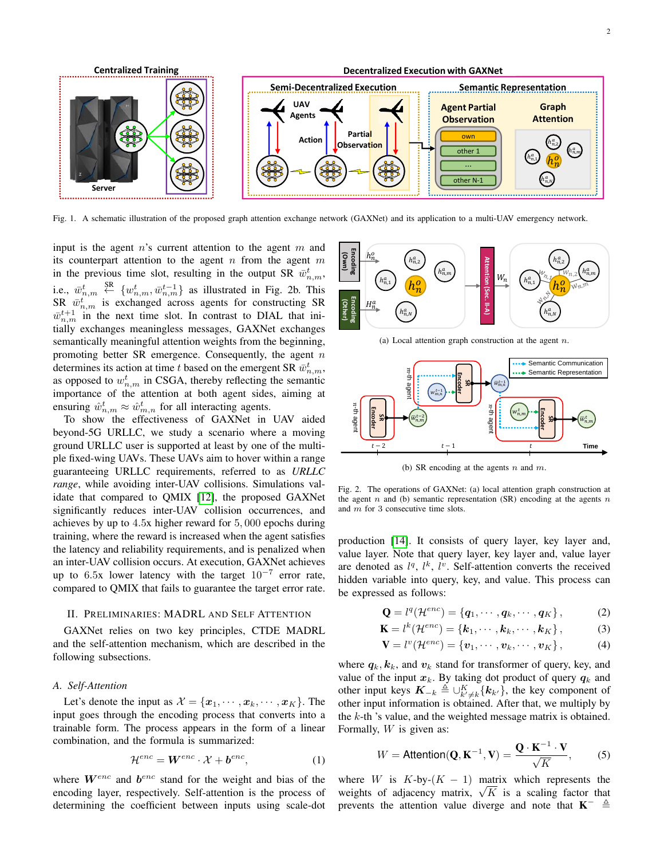

Fig. 1. A schematic illustration of the proposed graph attention exchange network (GAXNet) and its application to a multi-UAV emergency network.

input is the agent  $n$ 's current attention to the agent  $m$  and its counterpart attention to the agent n from the agent  $m$ in the previous time slot, resulting in the output SR  $\bar{w}^t_{n,m}$ , i.e.,  $\bar{w}_{n,m}^t$   $\overset{\text{SR}}{\leftarrow}$   $\{w_{n,m}^t, \bar{w}_{n,m}^{t-1}\}$  as illustrated in Fig. 2b. This SR  $\bar{w}_{n,m}^t$  is exchanged across agents for constructing SR  $\bar{w}_{n,m}^{t+1}$  in the next time slot. In contrast to DIAL that initially exchanges meaningless messages, GAXNet exchanges semantically meaningful attention weights from the beginning, promoting better SR emergence. Consequently, the agent  $n$ determines its action at time t based on the emergent SR  $\bar{w}^t_{n,m}$ , as opposed to  $w_{n,m}^t$  in CSGA, thereby reflecting the semantic importance of the attention at both agent sides, aiming at ensuring  $\hat{w}_{n,m}^t \approx \hat{w}_{m,n}^t$  for all interacting agents.

To show the effectiveness of GAXNet in UAV aided beyond-5G URLLC, we study a scenario where a moving ground URLLC user is supported at least by one of the multiple fixed-wing UAVs. These UAVs aim to hover within a range guaranteeing URLLC requirements, referred to as *URLLC range*, while avoiding inter-UAV collisions. Simulations validate that compared to QMIX [\[12\]](#page-5-11), the proposed GAXNet significantly reduces inter-UAV collision occurrences, and achieves by up to 4.5x higher reward for 5, 000 epochs during training, where the reward is increased when the agent satisfies the latency and reliability requirements, and is penalized when an inter-UAV collision occurs. At execution, GAXNet achieves up to 6.5x lower latency with the target  $10^{-7}$  error rate, compared to QMIX that fails to guarantee the target error rate.

## II. PRELIMINARIES: MADRL AND SELF ATTENTION

GAXNet relies on two key principles, CTDE MADRL and the self-attention mechanism, which are described in the following subsections.

#### <span id="page-1-0"></span>*A. Self-Attention*

Let's denote the input as  $\mathcal{X} = {\mathbf{x}_1, \cdots, \mathbf{x}_k, \cdots, \mathbf{x}_K}$ . The input goes through the encoding process that converts into a trainable form. The process appears in the form of a linear combination, and the formula is summarized:

$$
\mathcal{H}^{enc} = \mathbf{W}^{enc} \cdot \mathcal{X} + \boldsymbol{b}^{enc},\tag{1}
$$

where  $W^{enc}$  and  $b^{enc}$  stand for the weight and bias of the encoding layer, respectively. Self-attention is the process of determining the coefficient between inputs using scale-dot



(a) Local attention graph construction at the agent  $n$ .



(b) SR encoding at the agents  $n$  and  $m$ .

Fig. 2. The operations of GAXNet: (a) local attention graph construction at the agent  $n$  and (b) semantic representation (SR) encoding at the agents  $n$ and m for 3 consecutive time slots.

production [\[14\]](#page-5-13). It consists of query layer, key layer and, value layer. Note that query layer, key layer and, value layer are denoted as  $l^q$ ,  $l^k$ ,  $l^v$ . Self-attention converts the received hidden variable into query, key, and value. This process can be expressed as follows:

<span id="page-1-1"></span>
$$
\mathbf{Q} = l^q(\mathcal{H}^{enc}) = \{q_1, \cdots, q_k, \cdots, q_K\},\tag{2}
$$

$$
\mathbf{K} = l^k(\mathcal{H}^{enc}) = \{\mathbf{k}_1, \cdots, \mathbf{k}_k, \cdots, \mathbf{k}_K\},\tag{3}
$$

<span id="page-1-2"></span>
$$
\mathbf{V} = l^{v}(\mathcal{H}^{enc}) = {\mathbf{v}_1, \cdots, \mathbf{v}_k, \cdots, \mathbf{v}_K}, \qquad (4)
$$

where  $q_k, k_k$ , and  $v_k$  stand for transformer of query, key, and value of the input  $x_k$ . By taking dot product of query  $q_k$  and other input keys  $\mathbf{K}_{-k} \triangleq \bigcup_{k' \neq k}^{K} {\kappa_k}$ , the key component of other input information is obtained. After that, we multiply by the k-th 's value, and the weighted message matrix is obtained. Formally,  $W$  is given as:

<span id="page-1-3"></span>
$$
W = \text{Attention}(\mathbf{Q}, \mathbf{K}^{-1}, \mathbf{V}) = \frac{\mathbf{Q} \cdot \mathbf{K}^{-1} \cdot \mathbf{V}}{\sqrt{K}},\tag{5}
$$

where W is  $K$ -by- $(K - 1)$  matrix which represents the where *W* is *K*-by-(*K* – 1) matrix which represents the weights of adjacency matrix,  $\sqrt{K}$  is a scaling factor that prevents the attention value diverge and note that  $K^- \triangleq$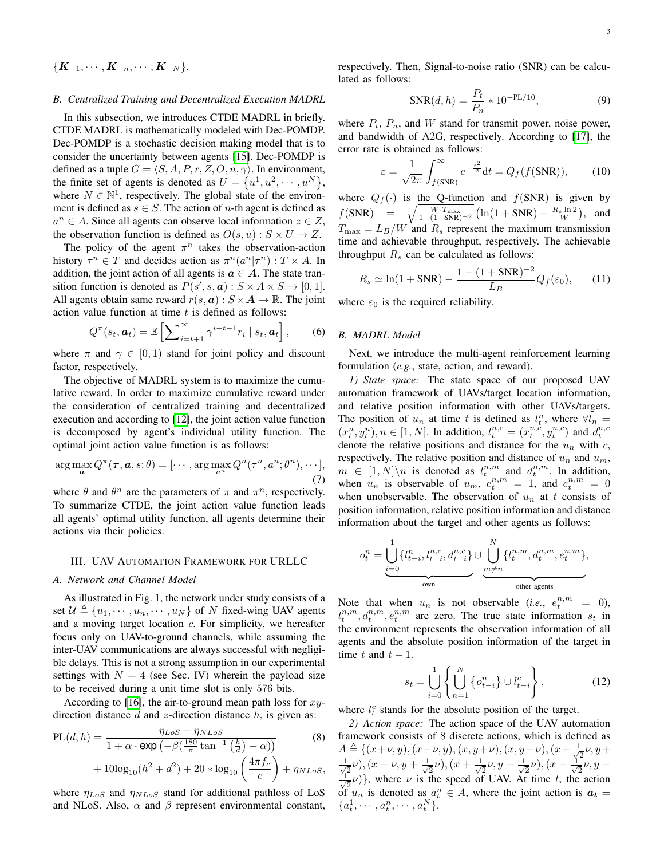$$
\{\boldsymbol{K}_{-1},\cdots,\boldsymbol{K}_{-n},\cdots,\boldsymbol{K}_{-N}\}.
$$

#### *B. Centralized Training and Decentralized Execution MADRL*

In this subsection, we introduces CTDE MADRL in briefly. CTDE MADRL is mathematically modeled with Dec-POMDP. Dec-POMDP is a stochastic decision making model that is to consider the uncertainty between agents [\[15\]](#page-5-14). Dec-POMDP is defined as a tuple  $G = \langle S, A, P, r, Z, O, n, \gamma \rangle$ . In environment, the finite set of agents is denoted as  $U = \{u^1, u^2, \dots, u^N\},\$ where  $N \in \mathbb{N}^1$ , respectively. The global state of the environment is defined as  $s \in S$ . The action of *n*-th agent is defined as  $a^n \in A$ . Since all agents can observe local information  $z \in Z$ , the observation function is defined as  $O(s, u) : S \times U \rightarrow Z$ .

The policy of the agent  $\pi^n$  takes the observation-action history  $\tau^n \in T$  and decides action as  $\pi^n(a^n | \tau^n) : T \times A$ . In addition, the joint action of all agents is  $a \in A$ . The state transition function is denoted as  $P(s', s, a) : S \times A \times S \rightarrow [0, 1].$ All agents obtain same reward  $r(s, a) : S \times A \rightarrow \mathbb{R}$ . The joint action value function at time  $t$  is defined as follows:

$$
Q^{\pi}(s_t, \boldsymbol{a}_t) = \mathbb{E}\left[\sum_{i=t+1}^{\infty} \gamma^{i-t-1} r_i \mid s_t, \boldsymbol{a}_t\right],\qquad(6)
$$

where  $\pi$  and  $\gamma \in [0, 1)$  stand for joint policy and discount factor, respectively.

The objective of MADRL system is to maximize the cumulative reward. In order to maximize cumulative reward under the consideration of centralized training and decentralized execution and according to [\[12\]](#page-5-11), the joint action value function is decomposed by agent's individual utility function. The optimal joint action value function is as follows:

$$
\arg\max_{\mathbf{a}} Q^{\pi}(\boldsymbol{\tau}, \mathbf{a}, s; \theta) = [\cdots, \arg\max_{a^n} Q^n(\tau^n, a^n; \theta^n), \cdots],
$$
\n(7)

where  $\theta$  and  $\theta^n$  are the parameters of  $\pi$  and  $\pi^n$ , respectively. To summarize CTDE, the joint action value function leads all agents' optimal utility function, all agents determine their actions via their policies.

### III. UAV AUTOMATION FRAMEWORK FOR URLLC

## *A. Network and Channel Model*

As illustrated in Fig. 1, the network under study consists of a set  $\mathcal{U} \triangleq \{u_1, \dots, u_n, \dots, u_N\}$  of N fixed-wing UAV agents and a moving target location  $c$ . For simplicity, we hereafter focus only on UAV-to-ground channels, while assuming the inter-UAV communications are always successful with negligible delays. This is not a strong assumption in our experimental settings with  $N = 4$  (see Sec. IV) wherein the payload size to be received during a unit time slot is only 576 bits.

According to [\[16\]](#page-5-15), the air-to-ground mean path loss for  $xy$ direction distance  $d$  and  $z$ -direction distance  $h$ , is given as:

$$
PL(d, h) = \frac{\eta_{LoS} - \eta_{NLoS}}{1 + \alpha \cdot \exp(-\beta(\frac{180}{\pi} \tan^{-1}(\frac{h}{d}) - \alpha))} \tag{8}
$$

$$
+ 10\log_{10}(h^2 + d^2) + 20 * \log_{10}(\frac{4\pi f_c}{c}) + \eta_{NLoS},
$$

where  $\eta_{LoS}$  and  $\eta_{NLoS}$  stand for additional pathloss of LoS and NLoS. Also,  $\alpha$  and  $\beta$  represent environmental constant, respectively. Then, Signal-to-noise ratio (SNR) can be calculated as follows:

<span id="page-2-1"></span><span id="page-2-0"></span>
$$
SNR(d, h) = \frac{P_t}{P_n} * 10^{-PL/10},
$$
\n(9)

where  $P_t$ ,  $P_n$ , and W stand for transmit power, noise power, and bandwidth of A2G, respectively. According to [\[17\]](#page-5-16), the error rate is obtained as follows:

$$
\varepsilon = \frac{1}{\sqrt{2\pi}} \int_{f(SNR)}^{\infty} e^{-\frac{t^2}{2}} dt = Q_f(f(SNR)), \qquad (10)
$$

where  $Q_f(\cdot)$  is the Q-function and  $f(SNR)$  is given by  $f(SNR) = \sqrt{\frac{W \cdot T_{\text{max}}}{1-(1+SNR)^{-2}}} \left( \ln(1+SNR) - \frac{R_s \ln 2}{W} \right)$ , and  $T_{\text{max}} = L_B/W$  and  $R_s$  represent the maximum transmission time and achievable throughput, respectively. The achievable throughput  $R_s$  can be calculated as follows:

$$
R_s \simeq \ln(1 + \text{SNR}) - \frac{1 - (1 + \text{SNR})^{-2}}{L_B} Q_f(\varepsilon_0), \qquad (11)
$$

where  $\varepsilon_0$  is the required reliability.

# *B. MADRL Model*

Next, we introduce the multi-agent reinforcement learning formulation (*e.g.*, state, action, and reward).

*1) State space:* The state space of our proposed UAV automation framework of UAVs/target location information, and relative position information with other UAVs/targets. The position of  $u_n$  at time t is defined as  $l_t^n$ , where  $\forall l_n =$  $(x_t^n, y_t^n), n \in [1, N]$ . In addition,  $l_t^{n,c} = (x_t^{n,c}, y_t^{n,c})$  and  $d_t^{n,c}$ denote the relative positions and distance for the  $u_n$  with c, respectively. The relative position and distance of  $u_n$  and  $u_m$ ,  $m \in [1, N] \backslash n$  is denoted as  $l_t^{n,m}$  and  $d_t^{n,m}$ . In addition, when  $u_n$  is observable of  $u_m$ ,  $e_t^{n,m} = 1$ , and  $e_t^{n,m} = 0$ when unobservable. The observation of  $u_n$  at t consists of position information, relative position information and distance information about the target and other agents as follows:

$$
o_t^n = \underbrace{\bigcup_{i=0}^1 \{l_{t-i}^n, l_{t-i}^{n,c}, d_{t-i}^{n,c}\}}_{\text{own}} \cup \underbrace{\bigcup_{m \neq n}^N \{l_t^{n,m}, d_t^{n,m}, e_t^{n,m}\}}_{\text{other agents}},
$$

Note that when  $u_n$  is not observable (*i.e.*,  $e_t^{n,m} = 0$ ),  $l_t^{n,m}, d_t^{n,m}, e_t^{n,m}$  are zero. The true state information  $s_t$  in the environment represents the observation information of all agents and the absolute position information of the target in time t and  $t - 1$ .

$$
s_t = \bigcup_{i=0}^1 \left\{ \bigcup_{n=1}^N \left\{ o_{t-i}^n \right\} \cup l_{t-i}^c \right\},\tag{12}
$$

where  $l_t^c$  stands for the absolute position of the target.

<span id="page-2-2"></span>*2) Action space:* The action space of the UAV automation framework consists of 8 discrete actions, which is defined as  $A \triangleq \{ (x+\nu, y), (x-\nu, y), (x, y+\nu), (x, y-\nu), (x+\frac{1}{\sqrt{2}})\}$  $\frac{1}{2}\nu, y +$  $\frac{1}{\sqrt{2}}$  $(\frac{1}{2}\nu)(x-\nu, y+\frac{1}{\sqrt{2}})$  $(\frac{1}{2}\nu), (x + \frac{1}{\sqrt{2}})$  $\frac{1}{2}\nu, y-\frac{1}{\sqrt{2}}$  $(\frac{1}{2}\nu),(\frac{x-\frac{1}{\sqrt{2}}}{\sqrt{2}})$  $\frac{1}{2}\nu, y -$ √ 1  $(\frac{1}{2}\nu)$ , where  $\nu$  is the speed of UAV. At time t, the action of  $u_n$  is denoted as  $a_t^n \in A$ , where the joint action is  $a_t =$  ${a_t^1, \cdots, a_t^n, \cdots, a_t^N}.$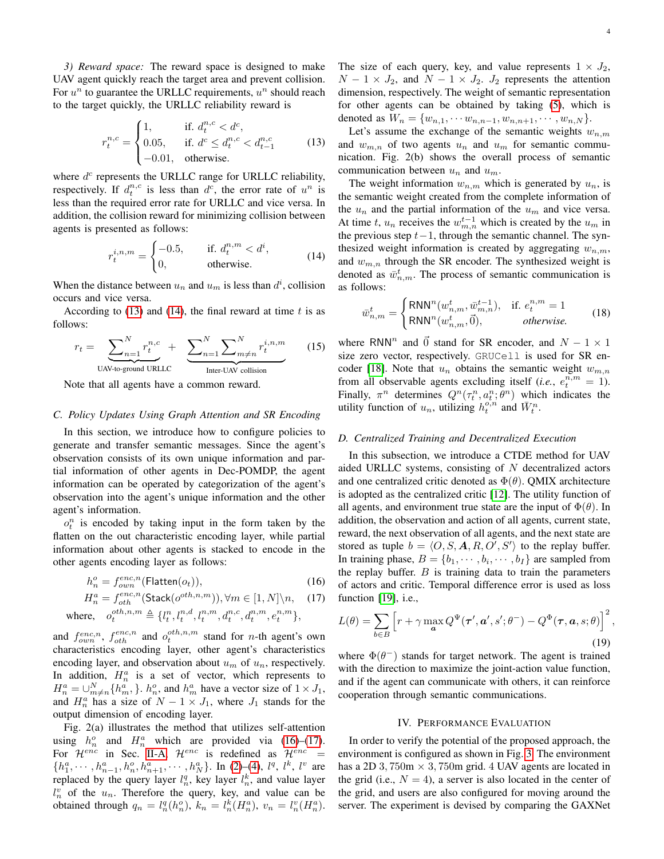,

*3) Reward space:* The reward space is designed to make UAV agent quickly reach the target area and prevent collision. For  $u^n$  to guarantee the URLLC requirements,  $u^n$  should reach to the target quickly, the URLLC reliability reward is

$$
r_t^{n,c} = \begin{cases} 1, & \text{if. } d_t^{n,c} < d^c, \\ 0.05, & \text{if. } d^c \le d_t^{n,c} < d_{t-1}^{n,c} \\ -0.01, & \text{otherwise.} \end{cases}
$$
(13)

where  $d^c$  represents the URLLC range for URLLC reliability, respectively. If  $d_t^{n,c}$  is less than  $d^c$ , the error rate of  $u^n$  is less than the required error rate for URLLC and vice versa. In addition, the collision reward for minimizing collision between agents is presented as follows:

$$
r_t^{i,n,m} = \begin{cases} -0.5, & \text{if. } d_t^{n,m} < d^i, \\ 0, & \text{otherwise.} \end{cases}
$$
(14)

When the distance between  $u_n$  and  $u_m$  is less than  $d^i$ , collision occurs and vice versa.

According to [\(13\)](#page-3-0) and [\(14\)](#page-3-1), the final reward at time  $t$  is as follows:

$$
r_t = \sum_{\text{UAV-to-ground URLC}}^{N} r_t^{n,c} + \sum_{n=1}^{N} \sum_{m \neq n}^{N} r_t^{i,n,m}
$$
 (15)

Note that all agents have a common reward.

## *C. Policy Updates Using Graph Attention and SR Encoding*

In this section, we introduce how to configure policies to generate and transfer semantic messages. Since the agent's observation consists of its own unique information and partial information of other agents in Dec-POMDP, the agent information can be operated by categorization of the agent's observation into the agent's unique information and the other agent's information.

 $o_t^n$  is encoded by taking input in the form taken by the flatten on the out characteristic encoding layer, while partial information about other agents is stacked to encode in the other agents encoding layer as follows:

$$
h_n^o = f_{own}^{enc,n}(\text{Flatten}(o_t)),\tag{16}
$$

$$
H_n^a = f_{oth}^{enc,n}(\text{Stack}(o^{oth,n,m})), \forall m \in [1, N] \setminus n, \quad (17)
$$

$$
\text{where, } o_t^{oth,n,m} \triangleq \{l_t^n, l_t^{n,d}, l_t^{n,m}, d_t^{n,c}, d_t^{n,m}, e_t^{n,m}\},
$$

and  $f_{own}^{enc,n}$ ,  $f_{oth}^{enc,n}$  and  $o_t^{oth,n,m}$  stand for *n*-th agent's own characteristics encoding layer, other agent's characteristics encoding layer, and observation about  $u_m$  of  $u_n$ , respectively. In addition,  $H_n^a$  is a set of vector, which represents to  $H_n^a = \bigcup_{m \neq n}^{N} \{h_m^a, \}\$ .  $h_n^o$ , and  $h_m^a$  have a vector size of  $1 \times J_1$ , and  $H_n^a$  has a size of  $N - 1 \times J_1$ , where  $J_1$  stands for the output dimension of encoding layer.

Fig. 2(a) illustrates the method that utilizes self-attention using  $h_n^o$  and  $H_n^a$  which are provided via [\(16\)](#page-3-2)–[\(17\)](#page-3-3). For  $\mathcal{H}^{enc}$  in Sec. [II-A,](#page-1-0)  $\mathcal{H}^{enc}$  is redefined as  $\mathcal{H}^{enc}$  =  $\{h_1^a, \dots, h_{n-1}^a, h_n^o, h_{n+1}^a, \dots, h_N^a\}$ . In [\(2\)](#page-1-1)–[\(4\)](#page-1-2),  $l^q$ ,  $l^k$ ,  $l^v$  are replaced by the query layer  $l_n^q$ , key layer  $l_n^k$ , and value layer  $l_n^v$  of the  $u_n$ . Therefore the query, key, and value can be obtained through  $q_n = l_n^q(h_n^o)$ ,  $k_n = l_n^k(H_n^a)$ ,  $v_n = l_n^v(H_n^a)$ . The size of each query, key, and value represents  $1 \times J_2$ ,  $N - 1 \times J_2$ , and  $N - 1 \times J_2$ .  $J_2$  represents the attention dimension, respectively. The weight of semantic representation for other agents can be obtained by taking [\(5\)](#page-1-3), which is denoted as  $W_n = \{w_{n,1}, \cdots w_{n,n-1}, w_{n,n+1}, \cdots, w_{n,N}\}.$ 

<span id="page-3-0"></span>Let's assume the exchange of the semantic weights  $w_{n,m}$ and  $w_{m,n}$  of two agents  $u_n$  and  $u_m$  for semantic communication. Fig. 2(b) shows the overall process of semantic communication between  $u_n$  and  $u_m$ .

<span id="page-3-1"></span>The weight information  $w_{n,m}$  which is generated by  $u_n$ , is the semantic weight created from the complete information of the  $u_n$  and the partial information of the  $u_m$  and vice versa. At time t,  $u_n$  receives the  $w_{m,n}^{t-1}$  which is created by the  $u_m$  in the previous step  $t-1$ , through the semantic channel. The synthesized weight information is created by aggregating  $w_{n,m}$ , and  $w_{m,n}$  through the SR encoder. The synthesized weight is denoted as  $\bar{w}_{n,m}^t$ . The process of semantic communication is as follows:

$$
\bar{w}_{n,m}^t = \begin{cases}\n\text{RNN}^n(w_{n,m}^t, \bar{w}_{m,n}^{t-1}), & \text{if. } e_t^{n,m} = 1 \\
\text{RNN}^n(w_{n,m}^t, \vec{0}), & \text{otherwise.} \n\end{cases}
$$
\n(18)

where RNN<sup>n</sup> and  $\vec{0}$  stand for SR encoder, and  $N - 1 \times 1$ size zero vector, respectively. GRUCell is used for SR en-coder [\[18\]](#page-5-17). Note that  $u_n$  obtains the semantic weight  $w_{m,n}$ from all observable agents excluding itself (*i.e.*,  $e_t^{\overline{n},m} = 1$ ). Finally,  $\pi^n$  determines  $Q^n(\tau_t^n, a_t^n; \theta^n)$  which indicates the utility function of  $u_n$ , utilizing  $h_t^{o,n}$  and  $\bar{W}_t^n$ .

### *D. Centralized Training and Decentralized Execution*

In this subsection, we introduce a CTDE method for UAV aided URLLC systems, consisting of N decentralized actors and one centralized critic denoted as  $\Phi(\theta)$ . QMIX architecture is adopted as the centralized critic [\[12\]](#page-5-11). The utility function of all agents, and environment true state are the input of  $\Phi(\theta)$ . In addition, the observation and action of all agents, current state, reward, the next observation of all agents, and the next state are stored as tuple  $b = \langle O, S, A, R, O', S' \rangle$  to the replay buffer. In training phase,  $B = \{b_1, \dots, b_i, \dots, b_I\}$  are sampled from the replay buffer.  $B$  is training data to train the parameters of actors and critic. Temporal difference error is used as loss function [\[19\]](#page-5-18), i.e.,

<span id="page-3-3"></span><span id="page-3-2"></span>
$$
L(\theta) = \sum_{b \in B} \left[ r + \gamma \max_{\mathbf{a}} Q^{\Psi}(\mathbf{\tau}', \mathbf{a}', s'; \theta^{-}) - Q^{\Phi}(\mathbf{\tau}, \mathbf{a}, s; \theta) \right]^2
$$
\n(19)

where  $\Phi(\theta^-)$  stands for target network. The agent is trained with the direction to maximize the joint-action value function, and if the agent can communicate with others, it can reinforce cooperation through semantic communications.

## IV. PERFORMANCE EVALUATION

In order to verify the potential of the proposed approach, the environment is configured as shown in Fig. [3.](#page-4-0) The environment has a 2D 3, 750m  $\times$  3, 750m grid. 4 UAV agents are located in the grid (i.e.,  $N = 4$ ), a server is also located in the center of the grid, and users are also configured for moving around the server. The experiment is devised by comparing the GAXNet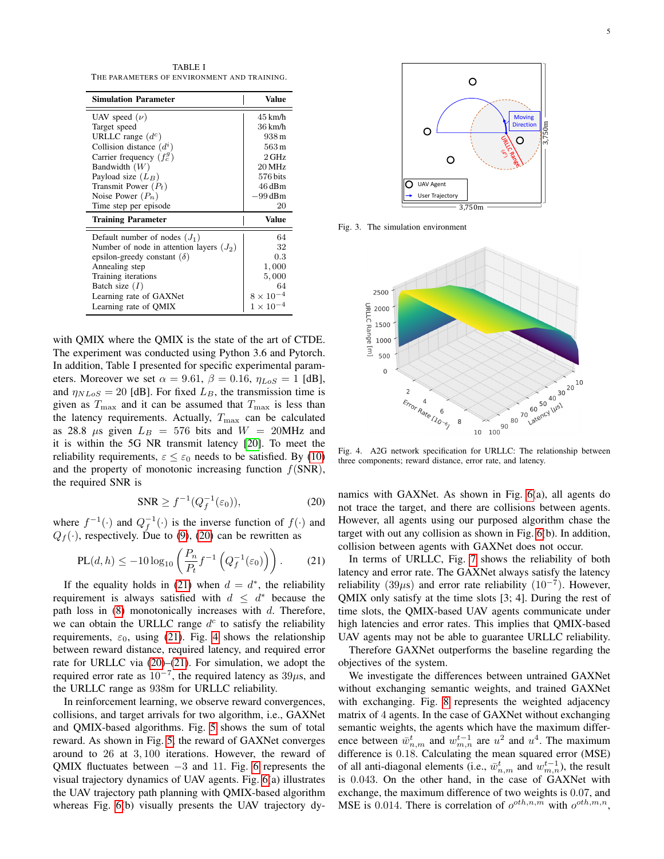TABLE I THE PARAMETERS OF ENVIRONMENT AND TRAINING.

| <b>Simulation Parameter</b>                | <b>Value</b>       |
|--------------------------------------------|--------------------|
| UAV speed $(\nu)$                          | $45 \text{ km/h}$  |
| Target speed                               | $36 \text{ km/h}$  |
| URLLC range $(d^c)$                        | 938 m              |
| Collision distance $(d^{i})$               | $563 \,\mathrm{m}$ |
| Carrier frequency $(f_c^g)$                | $2$ GHz            |
| Bandwidth $(W)$                            | 20 MHz             |
| Payload size $(L_B)$                       | 576 bits           |
| Transmit Power $(P_t)$                     | 46 dBm             |
| Noise Power $(P_n)$                        | -99 dBm            |
| Time step per episode                      | 20                 |
| <b>Training Parameter</b>                  | <b>Value</b>       |
| Default number of nodes $(J_1)$            | 64                 |
| Number of node in attention layers $(J_2)$ | 32                 |
| epsilon-greedy constant $(\delta)$         | 0.3                |
| Annealing step                             | 1,000              |
| Training iterations                        | 5,000              |
| Batch size $(I)$                           | 64                 |
| Learning rate of GAXNet                    | $8 \times 10$      |
| Learning rate of QMIX                      | $1\times10^{-4}$   |

with QMIX where the QMIX is the state of the art of CTDE. The experiment was conducted using Python 3.6 and Pytorch. In addition, Table I presented for specific experimental parameters. Moreover we set  $\alpha = 9.61$ ,  $\beta = 0.16$ ,  $\eta_{LoS} = 1$  [dB], and  $\eta_{NLoS} = 20$  [dB]. For fixed  $L_B$ , the transmission time is given as  $T_{\text{max}}$  and it can be assumed that  $T_{\text{max}}$  is less than the latency requirements. Actually,  $T_{\text{max}}$  can be calculated as 28.8  $\mu$ s given  $L_B = 576$  bits and  $W = 20$ MHz and it is within the 5G NR transmit latency [\[20\]](#page-5-19). To meet the reliability requirements,  $\varepsilon \leq \varepsilon_0$  needs to be satisfied. By [\(10\)](#page-2-0) and the property of monotonic increasing function  $f(SNR)$ , the required SNR is

$$
\text{SNR} \ge f^{-1}(Q_f^{-1}(\varepsilon_0)),\tag{20}
$$

where  $f^{-1}(\cdot)$  and  $Q_f^{-1}(\cdot)$  is the inverse function of  $f(\cdot)$  and  $Q_f(\cdot)$ , respectively. Due to [\(9\)](#page-2-1), [\(20\)](#page-4-1) can be rewritten as

$$
PL(d, h) \le -10 \log_{10} \left( \frac{P_n}{P_t} f^{-1} \left( Q_f^{-1}(\varepsilon_0) \right) \right). \tag{21}
$$

If the equality holds in [\(21\)](#page-4-2) when  $d = d^*$ , the reliability requirement is always satisfied with  $d \leq d^*$  because the path loss in  $(8)$  monotonically increases with  $d$ . Therefore, we can obtain the URLLC range  $d^c$  to satisfy the reliability requirements,  $\varepsilon_0$ , using [\(21\)](#page-4-2). Fig. [4](#page-4-3) shows the relationship between reward distance, required latency, and required error rate for URLLC via [\(20\)](#page-4-1)–[\(21\)](#page-4-2). For simulation, we adopt the required error rate as  $10^{-7}$ , the required latency as  $39\mu s$ , and the URLLC range as 938m for URLLC reliability.

In reinforcement learning, we observe reward convergences, collisions, and target arrivals for two algorithm, i.e., GAXNet and QMIX-based algorithms. Fig. [5](#page-5-20) shows the sum of total reward. As shown in Fig. [5,](#page-5-20) the reward of GAXNet converges around to 26 at 3, 100 iterations. However, the reward of QMIX fluctuates between  $-3$  and 11. Fig. [6](#page-5-21) represents the visual trajectory dynamics of UAV agents. Fig. [6\(](#page-5-21)a) illustrates the UAV trajectory path planning with QMIX-based algorithm whereas Fig. [6\(](#page-5-21)b) visually presents the UAV trajectory dy-



Fig. 3. The simulation environment

<span id="page-4-0"></span>

<span id="page-4-3"></span>Fig. 4. A2G network specification for URLLC: The relationship between three components; reward distance, error rate, and latency.

<span id="page-4-1"></span>namics with GAXNet. As shown in Fig. [6\(](#page-5-21)a), all agents do not trace the target, and there are collisions between agents. However, all agents using our purposed algorithm chase the target with out any collision as shown in Fig. [6\(](#page-5-21)b). In addition, collision between agents with GAXNet does not occur.

<span id="page-4-2"></span>In terms of URLLC, Fig. [7](#page-5-22) shows the reliability of both latency and error rate. The GAXNet always satisfy the latency reliability (39 $\mu$ s) and error rate reliability (10<sup>-7</sup>). However, QMIX only satisfy at the time slots [3; 4]. During the rest of time slots, the QMIX-based UAV agents communicate under high latencies and error rates. This implies that QMIX-based UAV agents may not be able to guarantee URLLC reliability.

Therefore GAXNet outperforms the baseline regarding the objectives of the system.

We investigate the differences between untrained GAXNet without exchanging semantic weights, and trained GAXNet with exchanging. Fig. [8](#page-5-23) represents the weighted adjacency matrix of 4 agents. In the case of GAXNet without exchanging semantic weights, the agents which have the maximum difference between  $\bar{w}_{n,m}^t$  and  $w_{m,n}^{t-1}$  are  $u^2$  and  $u^4$ . The maximum difference is 0.18. Calculating the mean squared error (MSE) of all anti-diagonal elements (i.e.,  $\bar{w}^t_{n,m}$  and  $w^{t-1}_{m,n}$ ), the result is 0.043. On the other hand, in the case of GAXNet with exchange, the maximum difference of two weights is 0.07, and MSE is 0.014. There is correlation of  $o^{oth,n,m}$  with  $o^{oth,m,n}$ ,